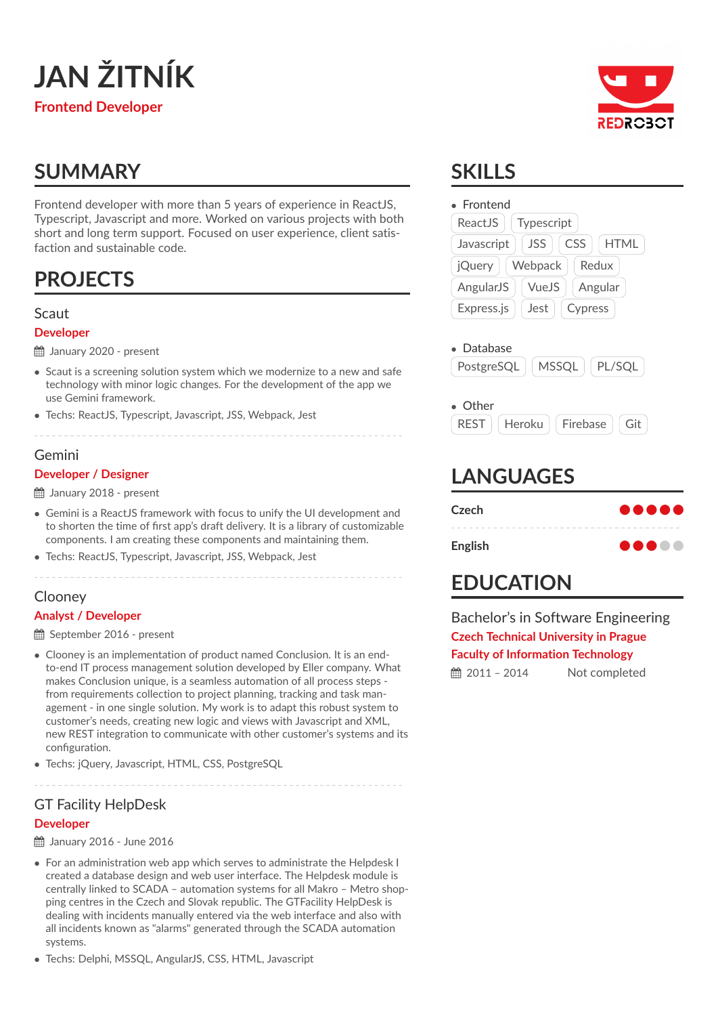

# **SUMMARY**

Frontend developer with more than 5 years of experience in ReactJS, Typescript, Javascript and more. Worked on various projects with both short and long term support. Focused on user experience, client satisfaction and sustainable code.

# **PROJECTS**

### Scaut

#### **Developer**

January 2020 - present

- Scaut is a screening solution system which we modernize to a new and safe technology with minor logic changes. For the development of the app we use Gemini framework.
- Techs: ReactJS, Typescript, Javascript, JSS, Webpack, Jest

#### Gemini

#### **Developer / Designer**

January 2018 - present

- Gemini is a ReactJS framework with focus to unify the UI development and to shorten the time of first app's draft delivery. It is a library of customizable components. I am creating these components and maintaining them.
- Techs: ReactJS, Typescript, Javascript, JSS, Webpack, Jest

#### Clooney **Analyst / Developer**

September 2016 - present

- Clooney is an implementation of product named Conclusion. It is an endto-end IT process management solution developed by Eller company. What makes Conclusion unique, is a seamless automation of all process steps from requirements collection to project planning, tracking and task management - in one single solution. My work is to adapt this robust system to customer's needs, creating new logic and views with Javascript and XML, new REST integration to communicate with other customer's systems and its configuration.
- Techs: jQuery, Javascript, HTML, CSS, PostgreSQL

# GT Facility HelpDesk

#### **Developer**

January 2016 - June 2016

- For an administration web app which serves to administrate the Helpdesk I created a database design and web user interface. The Helpdesk module is centrally linked to SCADA – automation systems for all Makro – Metro shopping centres in the Czech and Slovak republic. The GTFacility HelpDesk is dealing with incidents manually entered via the web interface and also with all incidents known as "alarms" generated through the SCADA automation systems.
- Techs: Delphi, MSSQL, AngularJS, CSS, HTML, Javascript



# **SKILLS**

| Frontend                                 |                                         |
|------------------------------------------|-----------------------------------------|
| ReactJS                                  | Typescript                              |
| Javascript                               | <b>CSS</b><br><b>JSS</b><br><b>HTML</b> |
| <b>jQuery</b>                            | Webpack<br>Redux                        |
| AngularJS                                | VueJS<br>Angular                        |
| Express.js                               | Jest<br>Cypress                         |
|                                          |                                         |
| Other<br><b>REST</b><br><b>LANGUAGES</b> | Heroku<br>Firebase<br>Git               |
|                                          |                                         |
| Czech                                    |                                         |

## **EDUCATION**

Bachelor's in Software Engineering **Czech Technical University in Prague Faculty of Information Technology 篇 2011 - 2014** Not completed